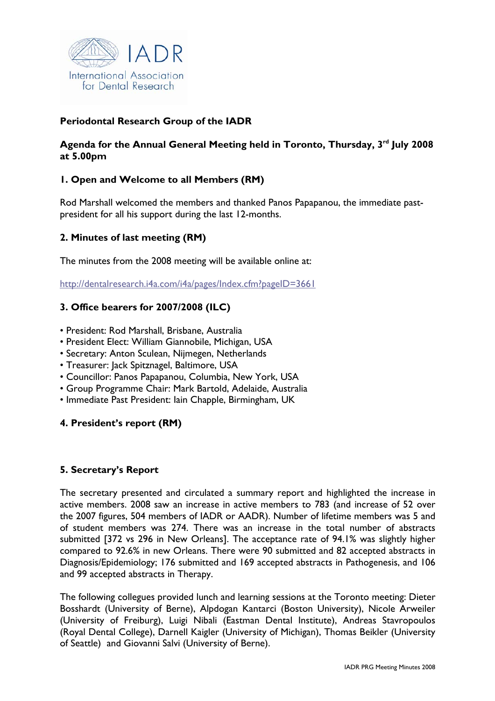

# **Periodontal Research Group of the IADR**

# Agenda for the Annual General Meeting held in Toronto, Thursday, 3<sup>rd</sup> July 2008 **at 5.00pm**

# **1. Open and Welcome to all Members (RM)**

Rod Marshall welcomed the members and thanked Panos Papapanou, the immediate pastpresident for all his support during the last 12-months.

# **2. Minutes of last meeting (RM)**

The minutes from the 2008 meeting will be available online at:

http://dentalresearch.i4a.com/i4a/pages/Index.cfm?pageID=3661

# **3. Office bearers for 2007/2008 (ILC)**

- President: Rod Marshall, Brisbane, Australia
- President Elect: William Giannobile, Michigan, USA
- Secretary: Anton Sculean, Nijmegen, Netherlands
- Treasurer: Jack Spitznagel, Baltimore, USA
- Councillor: Panos Papapanou, Columbia, New York, USA
- Group Programme Chair: Mark Bartold, Adelaide, Australia
- Immediate Past President: Iain Chapple, Birmingham, UK

### **4. President's report (RM)**

### **5. Secretary's Report**

The secretary presented and circulated a summary report and highlighted the increase in active members. 2008 saw an increase in active members to 783 (and increase of 52 over the 2007 figures, 504 members of IADR or AADR). Number of lifetime members was 5 and of student members was 274. There was an increase in the total number of abstracts submitted [372 vs 296 in New Orleans]. The acceptance rate of 94.1% was slightly higher compared to 92.6% in new Orleans. There were 90 submitted and 82 accepted abstracts in Diagnosis/Epidemiology; 176 submitted and 169 accepted abstracts in Pathogenesis, and 106 and 99 accepted abstracts in Therapy.

The following collegues provided lunch and learning sessions at the Toronto meeting: Dieter Bosshardt (University of Berne), Alpdogan Kantarci (Boston University), Nicole Arweiler (University of Freiburg), Luigi Nibali (Eastman Dental Institute), Andreas Stavropoulos (Royal Dental College), Darnell Kaigler (University of Michigan), Thomas Beikler (University of Seattle) and Giovanni Salvi (University of Berne).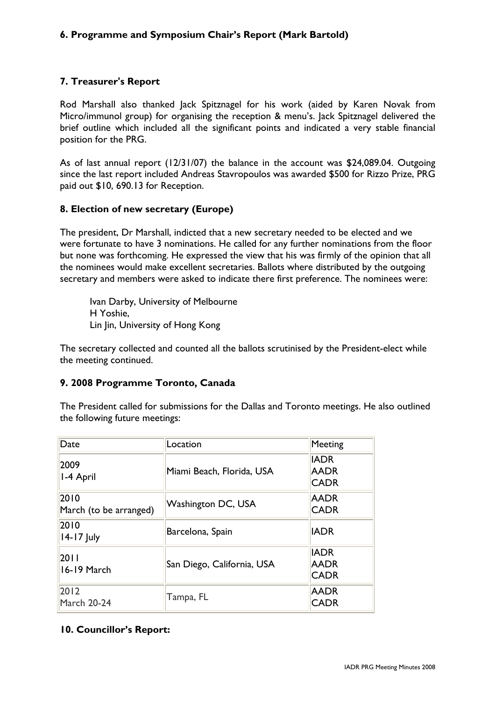# **6. Programme and Symposium Chair's Report (Mark Bartold)**

### **7. Treasurer's Report**

Rod Marshall also thanked Jack Spitznagel for his work (aided by Karen Novak from Micro/immunol group) for organising the reception & menu's. Jack Spitznagel delivered the brief outline which included all the significant points and indicated a very stable financial position for the PRG.

As of last annual report (12/31/07) the balance in the account was \$24,089.04. Outgoing since the last report included Andreas Stavropoulos was awarded \$500 for Rizzo Prize, PRG paid out \$10, 690.13 for Reception.

#### **8. Election of new secretary (Europe)**

The president, Dr Marshall, indicted that a new secretary needed to be elected and we were fortunate to have 3 nominations. He called for any further nominations from the floor but none was forthcoming. He expressed the view that his was firmly of the opinion that all the nominees would make excellent secretaries. Ballots where distributed by the outgoing secretary and members were asked to indicate there first preference. The nominees were:

Ivan Darby, University of Melbourne H Yoshie, Lin Jin, University of Hong Kong

The secretary collected and counted all the ballots scrutinised by the President-elect while the meeting continued.

#### **9. 2008 Programme Toronto, Canada**

The President called for submissions for the Dallas and Toronto meetings. He also outlined the following future meetings:

| Date                           | Location                   | <b>Meeting</b>                            |
|--------------------------------|----------------------------|-------------------------------------------|
| 2009<br>I-4 April              | Miami Beach, Florida, USA  | <b>IADR</b><br><b>AADR</b><br><b>CADR</b> |
| 2010<br>March (to be arranged) | Washington DC, USA         | <b>AADR</b><br><b>CADR</b>                |
| 2010<br>$14-17$ July           | Barcelona, Spain           | <b>IADR</b>                               |
| 2011<br>16-19 March            | San Diego, California, USA | <b>IADR</b><br><b>AADR</b><br><b>CADR</b> |
| 2012<br><b>March 20-24</b>     | Tampa, FL                  | <b>AADR</b><br><b>CADR</b>                |

#### **10. Councillor's Report:**